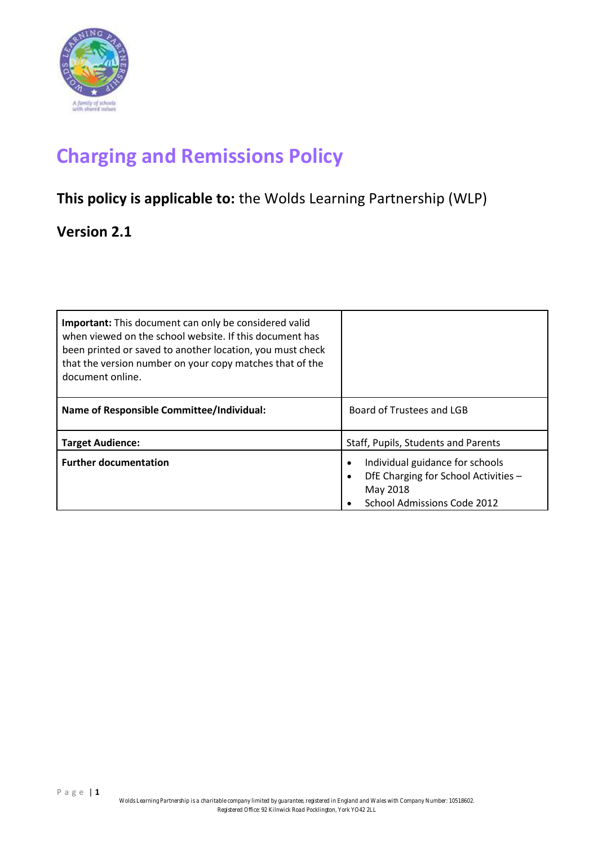

# **Charging and Remissions Policy**

## **This policy is applicable to:** the Wolds Learning Partnership (WLP)

### **Version 2.1**

| <b>Important:</b> This document can only be considered valid<br>when viewed on the school website. If this document has<br>been printed or saved to another location, you must check<br>that the version number on your copy matches that of the<br>document online. |                                                                                                                                                           |
|----------------------------------------------------------------------------------------------------------------------------------------------------------------------------------------------------------------------------------------------------------------------|-----------------------------------------------------------------------------------------------------------------------------------------------------------|
| <b>Name of Responsible Committee/Individual:</b>                                                                                                                                                                                                                     | Board of Trustees and LGB                                                                                                                                 |
| <b>Target Audience:</b>                                                                                                                                                                                                                                              | Staff, Pupils, Students and Parents                                                                                                                       |
| <b>Further documentation</b>                                                                                                                                                                                                                                         | Individual guidance for schools<br>$\bullet$<br>DfE Charging for School Activities -<br>$\bullet$<br>May 2018<br>School Admissions Code 2012<br>$\bullet$ |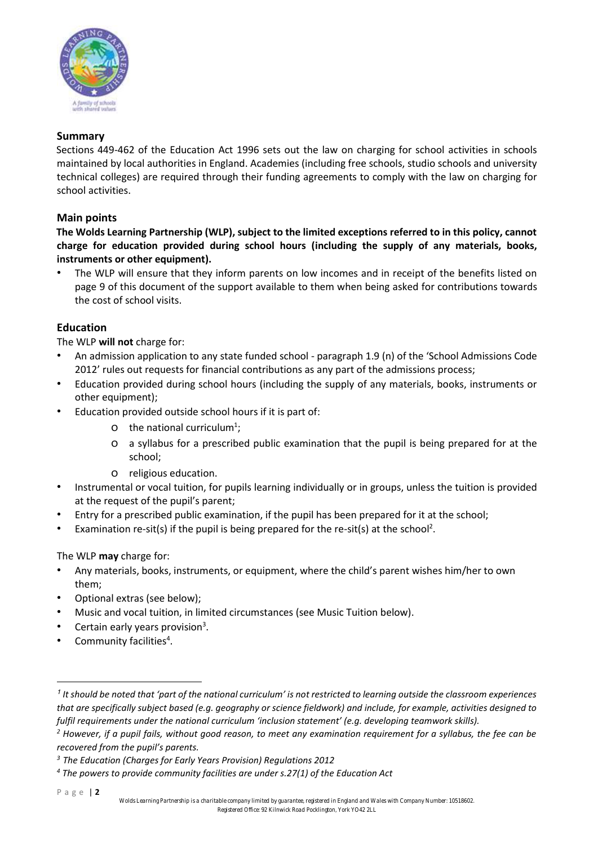

#### **Summary**

Sections 449-462 of the Education Act 1996 sets out the law on charging for school activities in schools maintained by local authorities in England. Academies (including free schools, studio schools and university technical colleges) are required through their funding agreements to comply with the law on charging for school activities.

#### **Main points**

**The Wolds Learning Partnership (WLP), subject to the limited exceptions referred to in this policy, cannot charge for education provided during school hours (including the supply of any materials, books, instruments or other equipment).** 

The WLP will ensure that they inform parents on low incomes and in receipt of the benefits listed on page 9 of this document of the support available to them when being asked for contributions towards the cost of school visits.

#### **Education**

The WLP **will not** charge for:

- An admission application to any state funded school paragraph 1.9 (n) of the 'School Admissions Code 2012' rules out requests for financial contributions as any part of the admissions process;
- Education provided during school hours (including the supply of any materials, books, instruments or other equipment);
- Education provided outside school hours if it is part of:
	- O the national curriculum<sup>1</sup>;
	- o a syllabus for a prescribed public examination that the pupil is being prepared for at the school;
	- o religious education.
- Instrumental or vocal tuition, for pupils learning individually or in groups, unless the tuition is provided at the request of the pupil's parent;
- Entry for a prescribed public examination, if the pupil has been prepared for it at the school;
- Examination re-sit(s) if the pupil is being prepared for the re-sit(s) at the school<sup>2</sup>.

The WLP **may** charge for:

- Any materials, books, instruments, or equipment, where the child's parent wishes him/her to own them;
- Optional extras (see below);
- Music and vocal tuition, in limited circumstances (see Music Tuition below).
- Certain early years provision<sup>3</sup>.
- Community facilities<sup>4</sup>.

1

*<sup>1</sup> It should be noted that 'part of the national curriculum' is not restricted to learning outside the classroom experiences that are specifically subject based (e.g. geography or science fieldwork) and include, for example, activities designed to fulfil requirements under the national curriculum 'inclusion statement' (e.g. developing teamwork skills).* 

*<sup>2</sup> However, if a pupil fails, without good reason, to meet any examination requirement for a syllabus, the fee can be recovered from the pupil's parents.* 

*<sup>3</sup> The Education (Charges for Early Years Provision) Regulations 2012* 

*<sup>4</sup> The powers to provide community facilities are under s.27(1) of the Education Act*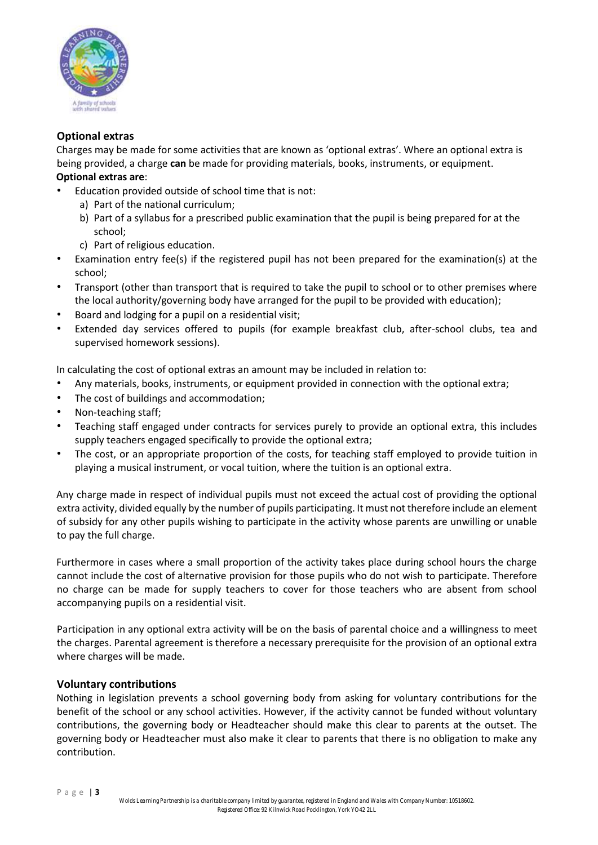

#### **Optional extras**

Charges may be made for some activities that are known as 'optional extras'. Where an optional extra is being provided, a charge **can** be made for providing materials, books, instruments, or equipment. **Optional extras are**:

- Education provided outside of school time that is not:
	- a) Part of the national curriculum;
	- b) Part of a syllabus for a prescribed public examination that the pupil is being prepared for at the school;
	- c) Part of religious education.
- Examination entry fee(s) if the registered pupil has not been prepared for the examination(s) at the school;
- Transport (other than transport that is required to take the pupil to school or to other premises where the local authority/governing body have arranged for the pupil to be provided with education);
- Board and lodging for a pupil on a residential visit;
- Extended day services offered to pupils (for example breakfast club, after-school clubs, tea and supervised homework sessions).

In calculating the cost of optional extras an amount may be included in relation to:

- Any materials, books, instruments, or equipment provided in connection with the optional extra;
- The cost of buildings and accommodation;
- Non-teaching staff;
- Teaching staff engaged under contracts for services purely to provide an optional extra, this includes supply teachers engaged specifically to provide the optional extra;
- The cost, or an appropriate proportion of the costs, for teaching staff employed to provide tuition in playing a musical instrument, or vocal tuition, where the tuition is an optional extra.

Any charge made in respect of individual pupils must not exceed the actual cost of providing the optional extra activity, divided equally by the number of pupils participating. It must not therefore include an element of subsidy for any other pupils wishing to participate in the activity whose parents are unwilling or unable to pay the full charge.

Furthermore in cases where a small proportion of the activity takes place during school hours the charge cannot include the cost of alternative provision for those pupils who do not wish to participate. Therefore no charge can be made for supply teachers to cover for those teachers who are absent from school accompanying pupils on a residential visit.

Participation in any optional extra activity will be on the basis of parental choice and a willingness to meet the charges. Parental agreement is therefore a necessary prerequisite for the provision of an optional extra where charges will be made.

#### **Voluntary contributions**

Nothing in legislation prevents a school governing body from asking for voluntary contributions for the benefit of the school or any school activities. However, if the activity cannot be funded without voluntary contributions, the governing body or Headteacher should make this clear to parents at the outset. The governing body or Headteacher must also make it clear to parents that there is no obligation to make any contribution.

P a g e | **3**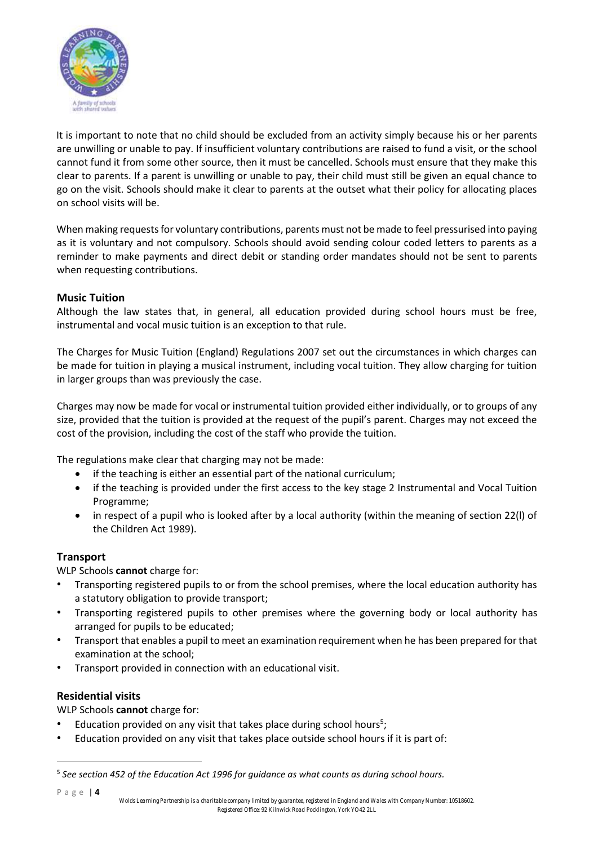

It is important to note that no child should be excluded from an activity simply because his or her parents are unwilling or unable to pay. If insufficient voluntary contributions are raised to fund a visit, or the school cannot fund it from some other source, then it must be cancelled. Schools must ensure that they make this clear to parents. If a parent is unwilling or unable to pay, their child must still be given an equal chance to go on the visit. Schools should make it clear to parents at the outset what their policy for allocating places on school visits will be.

When making requests for voluntary contributions, parents must not be made to feel pressurised into paying as it is voluntary and not compulsory. Schools should avoid sending colour coded letters to parents as a reminder to make payments and direct debit or standing order mandates should not be sent to parents when requesting contributions.

#### **Music Tuition**

Although the law states that, in general, all education provided during school hours must be free, instrumental and vocal music tuition is an exception to that rule.

The Charges for Music Tuition (England) Regulations 2007 set out the circumstances in which charges can be made for tuition in playing a musical instrument, including vocal tuition. They allow charging for tuition in larger groups than was previously the case.

Charges may now be made for vocal or instrumental tuition provided either individually, or to groups of any size, provided that the tuition is provided at the request of the pupil's parent. Charges may not exceed the cost of the provision, including the cost of the staff who provide the tuition.

The regulations make clear that charging may not be made:

- if the teaching is either an essential part of the national curriculum;
- if the teaching is provided under the first access to the key stage 2 Instrumental and Vocal Tuition Programme;
- in respect of a pupil who is looked after by a local authority (within the meaning of section 22(l) of the Children Act 1989).

#### **Transport**

WLP Schools **cannot** charge for:

- Transporting registered pupils to or from the school premises, where the local education authority has a statutory obligation to provide transport;
- Transporting registered pupils to other premises where the governing body or local authority has arranged for pupils to be educated;
- Transport that enables a pupil to meet an examination requirement when he has been prepared for that examination at the school;
- Transport provided in connection with an educational visit.

#### **Residential visits**

WLP Schools **cannot** charge for:

- Education provided on any visit that takes place during school hours<sup>5</sup>;
- Education provided on any visit that takes place outside school hours if it is part of:

P a g e | **4**

1

<sup>&</sup>lt;sup>5</sup> See section 452 of the Education Act 1996 for guidance as what counts as during school hours.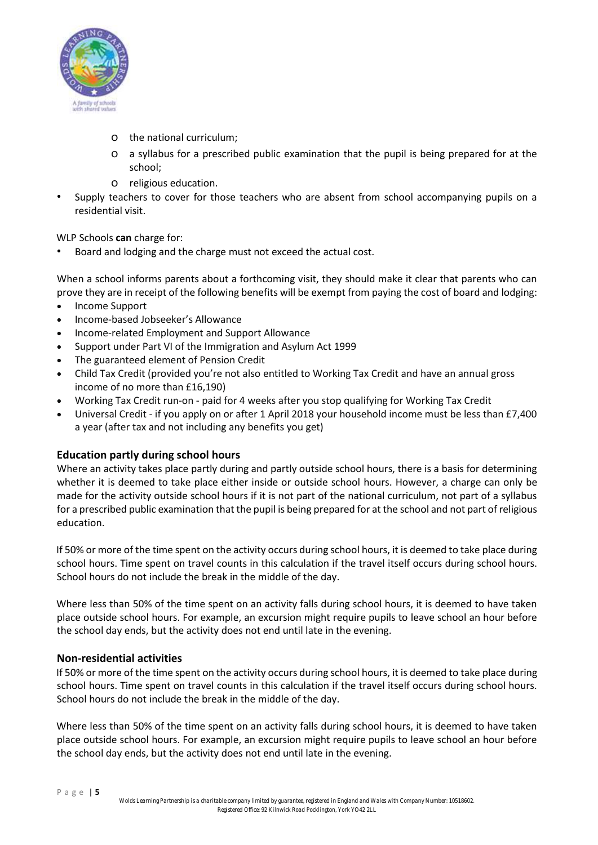

- o the national curriculum;
- o a syllabus for a prescribed public examination that the pupil is being prepared for at the school;
- o religious education.
- Supply teachers to cover for those teachers who are absent from school accompanying pupils on a residential visit.

WLP Schools **can** charge for:

Board and lodging and the charge must not exceed the actual cost.

When a school informs parents about a forthcoming visit, they should make it clear that parents who can prove they are in receipt of the following benefits will be exempt from paying the cost of board and lodging:

- Income Support
- Income-based Jobseeker's Allowance
- Income-related Employment and Support Allowance
- Support under Part VI of the Immigration and Asylum Act 1999
- The guaranteed element of Pension Credit
- Child Tax Credit (provided you're not also entitled to Working Tax Credit and have an annual gross income of no more than £16,190)
- Working Tax Credit run-on paid for 4 weeks after you stop qualifying for Working Tax Credit
- Universal Credit if you apply on or after 1 April 2018 your household income must be less than £7,400 a year (after tax and not including any benefits you get)

#### **Education partly during school hours**

Where an activity takes place partly during and partly outside school hours, there is a basis for determining whether it is deemed to take place either inside or outside school hours. However, a charge can only be made for the activity outside school hours if it is not part of the national curriculum, not part of a syllabus for a prescribed public examination that the pupil is being prepared for at the school and not part of religious education.

If 50% or more of the time spent on the activity occurs during school hours, it is deemed to take place during school hours. Time spent on travel counts in this calculation if the travel itself occurs during school hours. School hours do not include the break in the middle of the day.

Where less than 50% of the time spent on an activity falls during school hours, it is deemed to have taken place outside school hours. For example, an excursion might require pupils to leave school an hour before the school day ends, but the activity does not end until late in the evening.

#### **Non-residential activities**

If 50% or more of the time spent on the activity occurs during school hours, it is deemed to take place during school hours. Time spent on travel counts in this calculation if the travel itself occurs during school hours. School hours do not include the break in the middle of the day.

Where less than 50% of the time spent on an activity falls during school hours, it is deemed to have taken place outside school hours. For example, an excursion might require pupils to leave school an hour before the school day ends, but the activity does not end until late in the evening.

P a g e | **5**